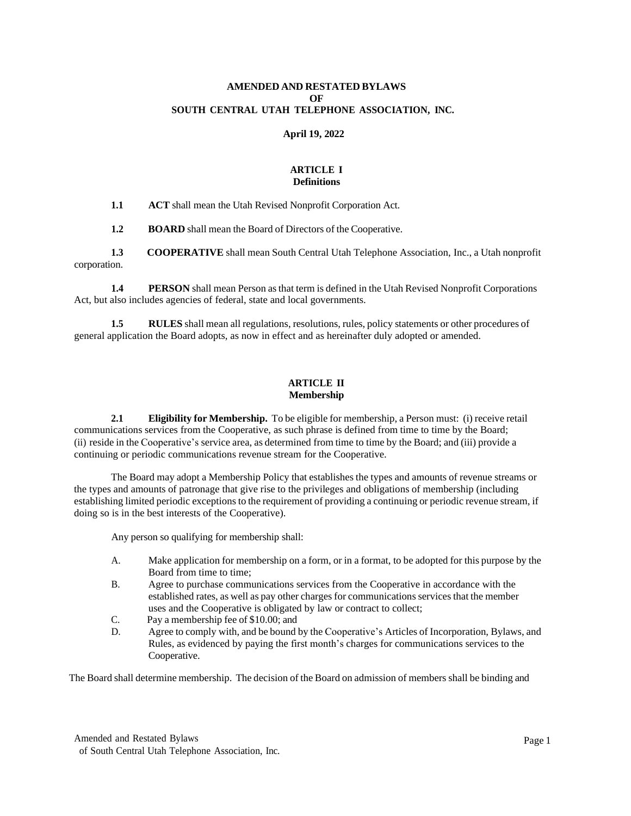# **AMENDED AND RESTATED BYLAWS OF SOUTH CENTRAL UTAH TELEPHONE ASSOCIATION, INC.**

## **April 19, 2022**

# **ARTICLE I Definitions**

**1.1 ACT** shall mean the Utah Revised Nonprofit Corporation Act.

**1.2 BOARD** shall mean the Board of Directors of the Cooperative.

**1.3 COOPERATIVE** shall mean South Central Utah Telephone Association, Inc., a Utah nonprofit corporation.

**1.4 PERSON** shall mean Person as that term is defined in the Utah Revised Nonprofit Corporations Act, but also includes agencies of federal, state and local governments.

**1.5 RULES** shall mean all regulations, resolutions, rules, policy statements or other procedures of general application the Board adopts, as now in effect and as hereinafter duly adopted or amended.

# **ARTICLE II Membership**

**2.1 Eligibility for Membership.** To be eligible for membership, a Person must: (i) receive retail communications services from the Cooperative, as such phrase is defined from time to time by the Board; (ii) reside in the Cooperative's service area, as determined from time to time by the Board; and (iii) provide a continuing or periodic communications revenue stream for the Cooperative.

The Board may adopt a Membership Policy that establishes the types and amounts of revenue streams or the types and amounts of patronage that give rise to the privileges and obligations of membership (including establishing limited periodic exceptions to the requirement of providing a continuing or periodic revenue stream, if doing so is in the best interests of the Cooperative).

Any person so qualifying for membership shall:

- A. Make application for membership on a form, or in a format, to be adopted for this purpose by the Board from time to time;
- B. Agree to purchase communications services from the Cooperative in accordance with the established rates, as well as pay other charges for communications services that the member uses and the Cooperative is obligated by law or contract to collect;
- C. Pay a membership fee of \$10.00; and
- D. Agree to comply with, and be bound by the Cooperative's Articles of Incorporation, Bylaws, and Rules, as evidenced by paying the first month's charges for communications services to the Cooperative.

The Board shall determine membership. The decision of the Board on admission of members shall be binding and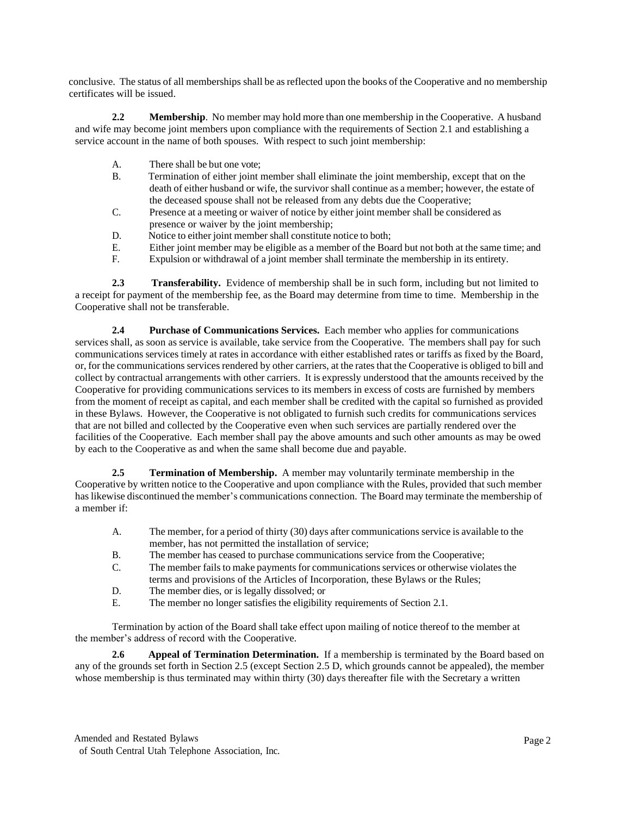conclusive. The status of all memberships shall be asreflected upon the books of the Cooperative and no membership certificates will be issued.

**2.2 Membership**. No member may hold more than one membership in the Cooperative. A husband and wife may become joint members upon compliance with the requirements of Section 2.1 and establishing a service account in the name of both spouses. With respect to such joint membership:

- A. There shall be but one vote;
- B. Termination of either joint member shall eliminate the joint membership, except that on the death of either husband or wife, the survivor shall continue as a member; however, the estate of the deceased spouse shall not be released from any debts due the Cooperative;
- C. Presence at a meeting or waiver of notice by either joint member shall be considered as presence or waiver by the joint membership;
- D. Notice to either joint member shall constitute notice to both;
- E. Either joint member may be eligible as a member of the Board but not both at the same time; and
- F. Expulsion or withdrawal of a joint member shall terminate the membership in its entirety.

**2.3 Transferability.** Evidence of membership shall be in such form, including but not limited to a receipt for payment of the membership fee, as the Board may determine from time to time. Membership in the Cooperative shall not be transferable.

**2.4 Purchase of Communications Services.** Each member who applies for communications services shall, as soon as service is available, take service from the Cooperative. The members shall pay for such communications services timely at rates in accordance with either established rates or tariffs as fixed by the Board, or, for the communications services rendered by other carriers, at the rates that the Cooperative is obliged to bill and collect by contractual arrangements with other carriers. It is expressly understood that the amounts received by the Cooperative for providing communications services to its members in excess of costs are furnished by members from the moment of receipt as capital, and each member shall be credited with the capital so furnished as provided in these Bylaws. However, the Cooperative is not obligated to furnish such credits for communications services that are not billed and collected by the Cooperative even when such services are partially rendered over the facilities of the Cooperative. Each member shall pay the above amounts and such other amounts as may be owed by each to the Cooperative as and when the same shall become due and payable.

**2.5 Termination of Membership.** A member may voluntarily terminate membership in the Cooperative by written notice to the Cooperative and upon compliance with the Rules, provided that such member has likewise discontinued the member's communications connection. The Board may terminate the membership of a member if:

- A. The member, for a period of thirty (30) days after communications service is available to the member, has not permitted the installation of service;
- B. The member has ceased to purchase communications service from the Cooperative;
- C. The member fails to make payments for communications services or otherwise violates the
- terms and provisions of the Articles of Incorporation, these Bylaws or the Rules;
- D. The member dies, or is legally dissolved; or
- E. The member no longer satisfies the eligibility requirements of Section 2.1.

Termination by action of the Board shall take effect upon mailing of notice thereof to the member at the member's address of record with the Cooperative.

**2.6 Appeal of Termination Determination.** If a membership is terminated by the Board based on any of the grounds set forth in Section 2.5 (except Section 2.5 D, which grounds cannot be appealed), the member whose membership is thus terminated may within thirty (30) days thereafter file with the Secretary a written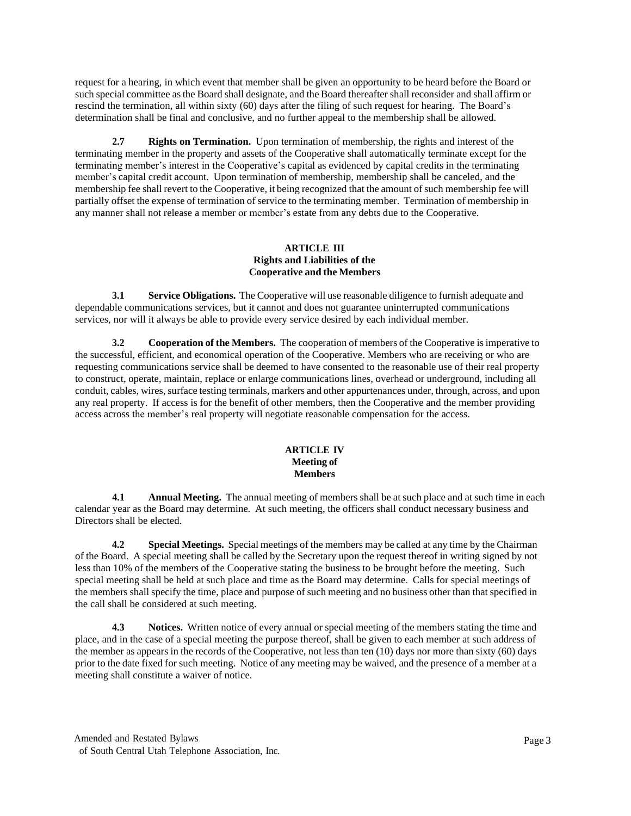request for a hearing, in which event that member shall be given an opportunity to be heard before the Board or such special committee asthe Board shall designate, and the Board thereafter shall reconsider and shall affirm or rescind the termination, all within sixty (60) days after the filing of such request for hearing. The Board's determination shall be final and conclusive, and no further appeal to the membership shall be allowed.

**2.7 Rights on Termination.** Upon termination of membership, the rights and interest of the terminating member in the property and assets of the Cooperative shall automatically terminate except for the terminating member's interest in the Cooperative's capital as evidenced by capital credits in the terminating member's capital credit account. Upon termination of membership, membership shall be canceled, and the membership fee shall revert to the Cooperative, it being recognized that the amount ofsuch membership fee will partially offset the expense of termination of service to the terminating member. Termination of membership in any manner shall not release a member or member's estate from any debts due to the Cooperative.

# **ARTICLE III Rights and Liabilities of the Cooperative and the Members**

**3.1 Service Obligations.** The Cooperative will use reasonable diligence to furnish adequate and dependable communications services, but it cannot and does not guarantee uninterrupted communications services, nor will it always be able to provide every service desired by each individual member.

**3.2 Cooperation of the Members.** The cooperation of members of the Cooperative isimperative to the successful, efficient, and economical operation of the Cooperative. Members who are receiving or who are requesting communications service shall be deemed to have consented to the reasonable use of their real property to construct, operate, maintain, replace or enlarge communications lines, overhead or underground, including all conduit, cables, wires, surface testing terminals, markers and other appurtenances under, through, across, and upon any real property. If access is for the benefit of other members, then the Cooperative and the member providing access across the member's real property will negotiate reasonable compensation for the access.

# **ARTICLE IV Meeting of Members**

**4.1 Annual Meeting.** The annual meeting of members shall be at such place and at such time in each calendar year as the Board may determine. At such meeting, the officers shall conduct necessary business and Directors shall be elected.

**4.2 Special Meetings.** Special meetings of the members may be called at any time by the Chairman of the Board. A special meeting shall be called by the Secretary upon the request thereof in writing signed by not less than 10% of the members of the Cooperative stating the business to be brought before the meeting. Such special meeting shall be held at such place and time as the Board may determine. Calls for special meetings of the members shall specify the time, place and purpose of such meeting and no business other than that specified in the call shall be considered at such meeting.

**4.3 Notices.** Written notice of every annual or special meeting of the members stating the time and place, and in the case of a special meeting the purpose thereof, shall be given to each member at such address of the member as appears in the records of the Cooperative, not less than ten (10) days nor more than sixty (60) days prior to the date fixed for such meeting. Notice of any meeting may be waived, and the presence of a member at a meeting shall constitute a waiver of notice.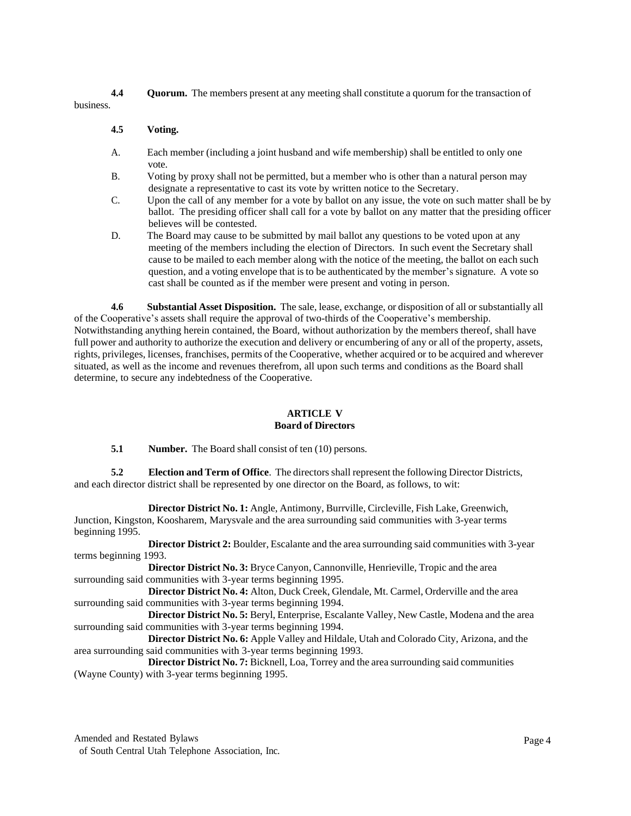**4.4 Quorum.** The members present at any meeting shall constitute a quorum for the transaction of

business.

# **4.5 Voting.**

- A. Each member (including a joint husband and wife membership) shall be entitled to only one vote.
- B. Voting by proxy shall not be permitted, but a member who is other than a natural person may designate a representative to cast its vote by written notice to the Secretary.
- C. Upon the call of any member for a vote by ballot on any issue, the vote on such matter shall be by ballot. The presiding officer shall call for a vote by ballot on any matter that the presiding officer believes will be contested.
- D. The Board may cause to be submitted by mail ballot any questions to be voted upon at any meeting of the members including the election of Directors. In such event the Secretary shall cause to be mailed to each member along with the notice of the meeting, the ballot on each such question, and a voting envelope that isto be authenticated by the member's signature. A vote so cast shall be counted as if the member were present and voting in person.

**4.6 Substantial Asset Disposition.** The sale, lease, exchange, or disposition of all or substantially all of the Cooperative's assets shall require the approval of two-thirds of the Cooperative's membership. Notwithstanding anything herein contained, the Board, without authorization by the members thereof, shall have full power and authority to authorize the execution and delivery or encumbering of any or all of the property, assets, rights, privileges, licenses, franchises, permits of the Cooperative, whether acquired or to be acquired and wherever situated, as well as the income and revenues therefrom, all upon such terms and conditions as the Board shall determine, to secure any indebtedness of the Cooperative.

# **ARTICLE V Board of Directors**

**5.1 Number.** The Board shall consist of ten (10) persons.

**5.2 Election and Term of Office**. The directors shall represent the following Director Districts, and each director district shall be represented by one director on the Board, as follows, to wit:

**Director District No. 1:** Angle, Antimony, Burrville, Circleville, Fish Lake, Greenwich, Junction, Kingston, Koosharem, Marysvale and the area surrounding said communities with 3-year terms beginning 1995.

**Director District 2:** Boulder, Escalante and the area surrounding said communities with 3-year terms beginning 1993.

**Director District No. 3:** Bryce Canyon, Cannonville, Henrieville, Tropic and the area surrounding said communities with 3-year terms beginning 1995.

**Director District No. 4:** Alton, Duck Creek, Glendale, Mt. Carmel, Orderville and the area surrounding said communities with 3-year terms beginning 1994.

**Director District No. 5:** Beryl, Enterprise, Escalante Valley, New Castle, Modena and the area surrounding said communities with 3-year terms beginning 1994.

**Director District No. 6:** Apple Valley and Hildale, Utah and Colorado City, Arizona, and the area surrounding said communities with 3-year terms beginning 1993.

**Director District No. 7:** Bicknell, Loa, Torrey and the area surrounding said communities (Wayne County) with 3-year terms beginning 1995.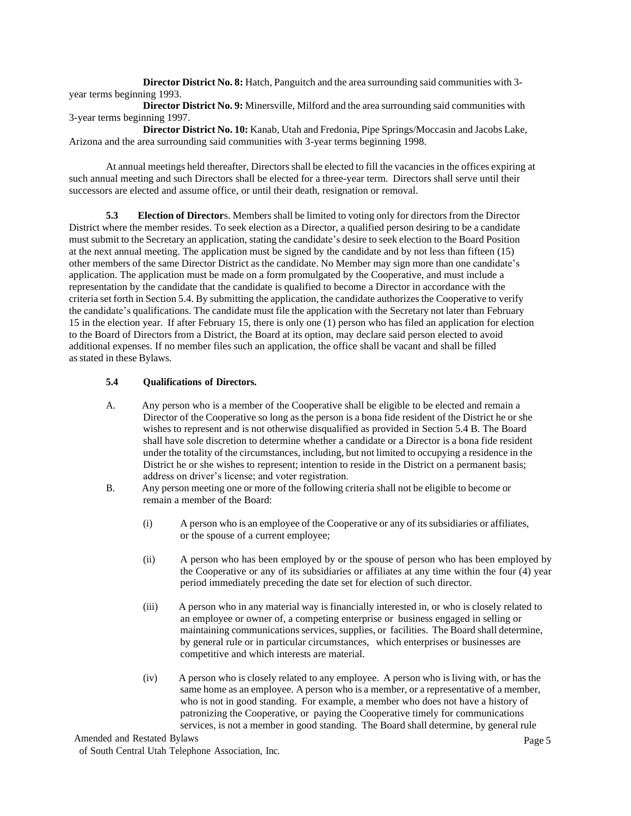**Director District No. 8:** Hatch, Panguitch and the area surrounding said communities with 3 year terms beginning 1993.

**Director District No. 9:** Minersville, Milford and the area surrounding said communities with 3-year terms beginning 1997.

**Director District No. 10:** Kanab, Utah and Fredonia, Pipe Springs/Moccasin and Jacobs Lake, Arizona and the area surrounding said communities with 3-year terms beginning 1998.

At annual meetings held thereafter, Directorsshall be elected to fill the vacancies in the offices expiring at such annual meeting and such Directors shall be elected for a three-year term. Directors shall serve until their successors are elected and assume office, or until their death, resignation or removal.

**5.3 Election of Director**s. Membersshall be limited to voting only for directors from the Director District where the member resides. To seek election as a Director, a qualified person desiring to be a candidate must submit to the Secretary an application, stating the candidate's desire to seek election to the Board Position at the next annual meeting. The application must be signed by the candidate and by not less than fifteen (15) other members of the same Director District as the candidate. No Member may sign more than one candidate's application. The application must be made on a form promulgated by the Cooperative, and must include a representation by the candidate that the candidate is qualified to become a Director in accordance with the criteria set forth in Section 5.4. By submitting the application, the candidate authorizes the Cooperative to verify the candidate's qualifications. The candidate must file the application with the Secretary not later than February 15 in the election year. If after February 15, there is only one (1) person who has filed an application for election to the Board of Directors from a District, the Board at its option, may declare said person elected to avoid additional expenses. If no member files such an application, the office shall be vacant and shall be filled asstated in these Bylaws.

#### **5.4 Qualifications of Directors.**

- A. Any person who is a member of the Cooperative shall be eligible to be elected and remain a Director of the Cooperative so long as the person is a bona fide resident of the District he or she wishes to represent and is not otherwise disqualified as provided in Section 5.4 B. The Board shall have sole discretion to determine whether a candidate or a Director is a bona fide resident under the totality of the circumstances, including, but not limited to occupying a residence in the District he or she wishes to represent; intention to reside in the District on a permanent basis; address on driver's license; and voter registration.
- B. Any person meeting one or more of the following criteria shall not be eligible to become or remain a member of the Board:
	- (i) A person who is an employee of the Cooperative or any of itssubsidiaries or affiliates, or the spouse of a current employee;
	- (ii) A person who has been employed by or the spouse of person who has been employed by the Cooperative or any of its subsidiaries or affiliates at any time within the four (4) year period immediately preceding the date set for election of such director.
	- (iii) A person who in any material way is financially interested in, or who is closely related to an employee or owner of, a competing enterprise or business engaged in selling or maintaining communications services, supplies, or facilities. The Board shall determine, by general rule or in particular circumstances, which enterprises or businesses are competitive and which interests are material.
	- (iv) A person who is closely related to any employee. A person who is living with, or has the same home as an employee. A person who is a member, or a representative of a member, who is not in good standing. For example, a member who does not have a history of patronizing the Cooperative, or paying the Cooperative timely for communications services, is not a member in good standing. The Board shall determine, by general rule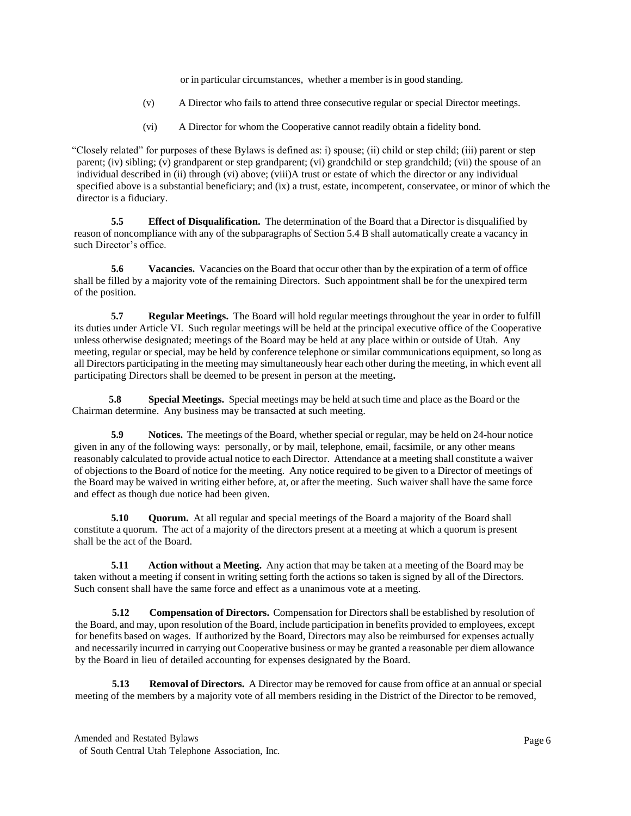or in particular circumstances, whether a member is in good standing.

- (v) A Director who fails to attend three consecutive regular or special Director meetings.
- (vi) A Director for whom the Cooperative cannot readily obtain a fidelity bond.

"Closely related" for purposes of these Bylaws is defined as: i) spouse; (ii) child or step child; (iii) parent or step parent; (iv) sibling; (v) grandparent or step grandparent; (vi) grandchild or step grandchild; (vii) the spouse of an individual described in (ii) through (vi) above; (viii)A trust or estate of which the director or any individual specified above is a substantial beneficiary; and (ix) a trust, estate, incompetent, conservatee, or minor of which the director is a fiduciary.

**5.5 Effect of Disqualification.** The determination of the Board that a Director is disqualified by reason of noncompliance with any of the subparagraphs of Section 5.4 B shall automatically create a vacancy in such Director's office.

**5.6 Vacancies.** Vacancies on the Board that occur other than by the expiration of a term of office shall be filled by a majority vote of the remaining Directors. Such appointment shall be for the unexpired term of the position.

**5.7 Regular Meetings.** The Board will hold regular meetings throughout the year in order to fulfill its duties under Article VI. Such regular meetings will be held at the principal executive office of the Cooperative unless otherwise designated; meetings of the Board may be held at any place within or outside of Utah. Any meeting, regular or special, may be held by conference telephone or similar communications equipment, so long as all Directors participating in the meeting may simultaneously hear each other during the meeting, in which event all participating Directors shall be deemed to be present in person at the meeting**.**

**5.8 Special Meetings.** Special meetings may be held at such time and place as the Board or the Chairman determine. Any business may be transacted at such meeting.

**5.9 Notices.** The meetings of the Board, whether special or regular, may be held on 24-hour notice given in any of the following ways: personally, or by mail, telephone, email, facsimile, or any other means reasonably calculated to provide actual notice to each Director. Attendance at a meeting shall constitute a waiver of objections to the Board of notice for the meeting. Any notice required to be given to a Director of meetings of the Board may be waived in writing either before, at, or after the meeting. Such waiver shall have the same force and effect as though due notice had been given.

**5.10 Quorum.** At all regular and special meetings of the Board a majority of the Board shall constitute a quorum. The act of a majority of the directors present at a meeting at which a quorum is present shall be the act of the Board.

**5.11 Action without a Meeting.** Any action that may be taken at a meeting of the Board may be taken without a meeting if consent in writing setting forth the actions so taken is signed by all of the Directors. Such consent shall have the same force and effect as a unanimous vote at a meeting.

**5.12 Compensation of Directors.** Compensation for Directorsshall be established by resolution of the Board, and may, upon resolution of the Board, include participation in benefits provided to employees, except for benefits based on wages. If authorized by the Board, Directors may also be reimbursed for expenses actually and necessarily incurred in carrying out Cooperative business or may be granted a reasonable per diem allowance by the Board in lieu of detailed accounting for expenses designated by the Board.

**5.13 Removal of Directors.** A Director may be removed for cause from office at an annual or special meeting of the members by a majority vote of all members residing in the District of the Director to be removed,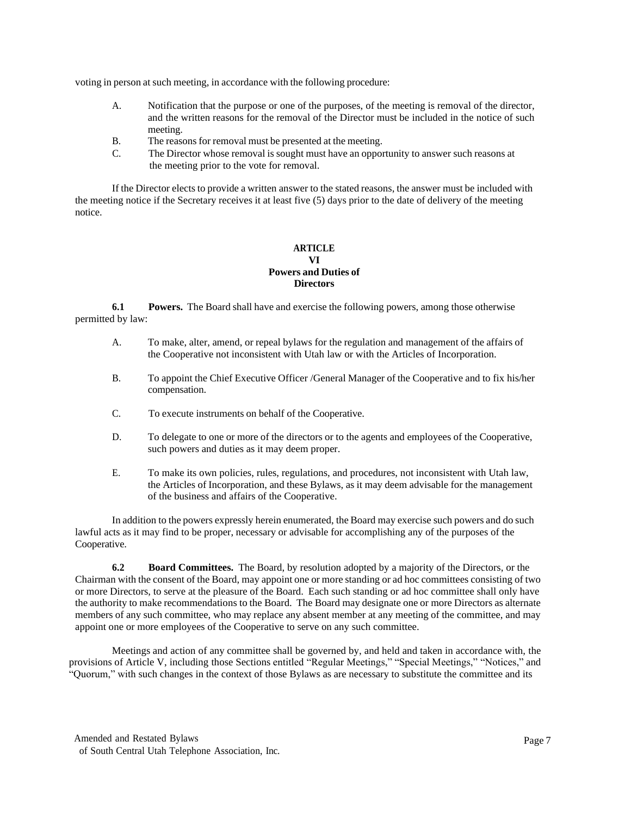voting in person at such meeting, in accordance with the following procedure:

- A. Notification that the purpose or one of the purposes, of the meeting is removal of the director, and the written reasons for the removal of the Director must be included in the notice of such meeting.
- B. The reasons for removal must be presented at the meeting.
- C. The Director whose removal is sought must have an opportunity to answer such reasons at the meeting prior to the vote for removal.

If the Director elects to provide a written answer to the stated reasons, the answer must be included with the meeting notice if the Secretary receives it at least five (5) days prior to the date of delivery of the meeting notice.

### **ARTICLE VI Powers and Duties of Directors**

**6.1 Powers.** The Board shall have and exercise the following powers, among those otherwise permitted by law:

- A. To make, alter, amend, or repeal bylaws for the regulation and management of the affairs of the Cooperative not inconsistent with Utah law or with the Articles of Incorporation.
- B. To appoint the Chief Executive Officer /General Manager of the Cooperative and to fix his/her compensation.
- C. To execute instruments on behalf of the Cooperative.
- D. To delegate to one or more of the directors or to the agents and employees of the Cooperative, such powers and duties as it may deem proper.
- E. To make its own policies, rules, regulations, and procedures, not inconsistent with Utah law, the Articles of Incorporation, and these Bylaws, as it may deem advisable for the management of the business and affairs of the Cooperative.

In addition to the powers expressly herein enumerated, the Board may exercise such powers and do such lawful acts as it may find to be proper, necessary or advisable for accomplishing any of the purposes of the Cooperative.

**6.2 Board Committees.** The Board, by resolution adopted by a majority of the Directors, or the Chairman with the consent of the Board, may appoint one or more standing or ad hoc committees consisting of two or more Directors, to serve at the pleasure of the Board. Each such standing or ad hoc committee shall only have the authority to make recommendations to the Board. The Board may designate one or more Directors as alternate members of any such committee, who may replace any absent member at any meeting of the committee, and may appoint one or more employees of the Cooperative to serve on any such committee.

Meetings and action of any committee shall be governed by, and held and taken in accordance with, the provisions of Article V, including those Sections entitled "Regular Meetings," "Special Meetings," "Notices," and "Quorum," with such changes in the context of those Bylaws as are necessary to substitute the committee and its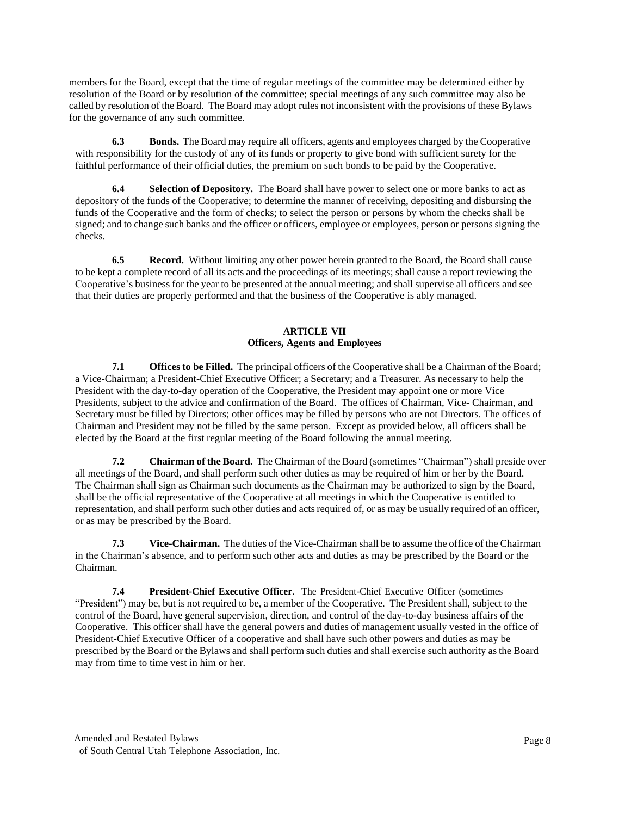members for the Board, except that the time of regular meetings of the committee may be determined either by resolution of the Board or by resolution of the committee; special meetings of any such committee may also be called by resolution of the Board. The Board may adopt rules not inconsistent with the provisions of these Bylaws for the governance of any such committee.

**6.3 Bonds.** The Board may require all officers, agents and employees charged by the Cooperative with responsibility for the custody of any of its funds or property to give bond with sufficient surety for the faithful performance of their official duties, the premium on such bonds to be paid by the Cooperative.

**6.4 Selection of Depository.** The Board shall have power to select one or more banks to act as depository of the funds of the Cooperative; to determine the manner of receiving, depositing and disbursing the funds of the Cooperative and the form of checks; to select the person or persons by whom the checks shall be signed; and to change such banks and the officer or officers, employee or employees, person or persons signing the checks.

**6.5 Record.** Without limiting any other power herein granted to the Board, the Board shall cause to be kept a complete record of all its acts and the proceedings of its meetings; shall cause a report reviewing the Cooperative's business for the year to be presented at the annual meeting; and shall supervise all officers and see that their duties are properly performed and that the business of the Cooperative is ably managed.

## **ARTICLE VII Officers, Agents and Employees**

**7.1 Offices to be Filled.** The principal officers of the Cooperative shall be a Chairman of the Board; a Vice-Chairman; a President-Chief Executive Officer; a Secretary; and a Treasurer. As necessary to help the President with the day-to-day operation of the Cooperative, the President may appoint one or more Vice Presidents, subject to the advice and confirmation of the Board. The offices of Chairman, Vice- Chairman, and Secretary must be filled by Directors; other offices may be filled by persons who are not Directors. The offices of Chairman and President may not be filled by the same person. Except as provided below, all officers shall be elected by the Board at the first regular meeting of the Board following the annual meeting.

**7.2 Chairman of the Board.** The Chairman of the Board (sometimes "Chairman") shall preside over all meetings of the Board, and shall perform such other duties as may be required of him or her by the Board. The Chairman shall sign as Chairman such documents as the Chairman may be authorized to sign by the Board, shall be the official representative of the Cooperative at all meetings in which the Cooperative is entitled to representation, and shall perform such other duties and actsrequired of, or as may be usually required of an officer, or as may be prescribed by the Board.

**7.3 Vice-Chairman.** The duties of the Vice-Chairman shall be to assume the office of the Chairman in the Chairman's absence, and to perform such other acts and duties as may be prescribed by the Board or the Chairman.

**7.4 President-Chief Executive Officer.** The President-Chief Executive Officer (sometimes "President") may be, but is not required to be, a member of the Cooperative. The President shall, subject to the control of the Board, have general supervision, direction, and control of the day-to-day business affairs of the Cooperative. This officer shall have the general powers and duties of management usually vested in the office of President-Chief Executive Officer of a cooperative and shall have such other powers and duties as may be prescribed by the Board or the Bylaws and shall perform such duties and shall exercise such authority asthe Board may from time to time vest in him or her.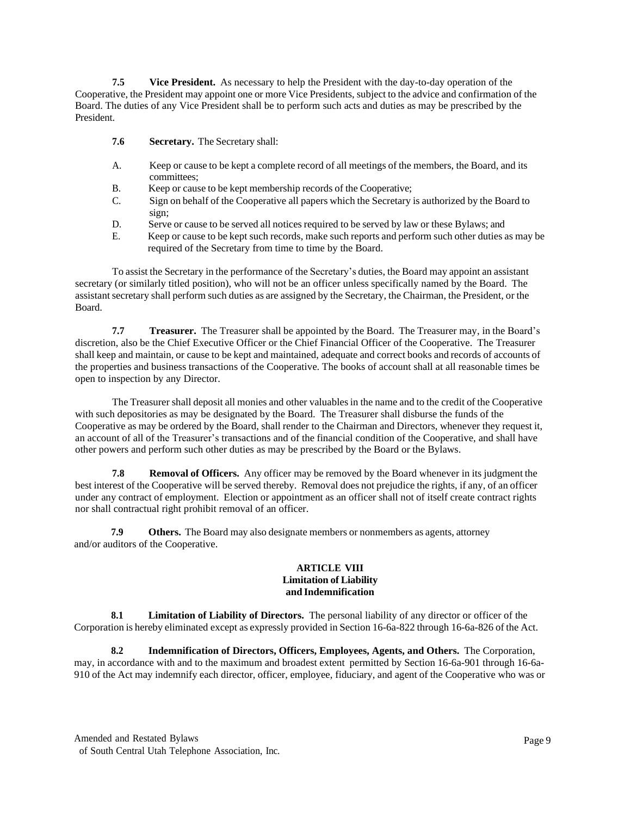**7.5 Vice President.** As necessary to help the President with the day-to-day operation of the Cooperative, the President may appoint one or more Vice Presidents, subject to the advice and confirmation of the Board. The duties of any Vice President shall be to perform such acts and duties as may be prescribed by the President.

- **7.6 Secretary.** The Secretary shall:
- A. Keep or cause to be kept a complete record of all meetings of the members, the Board, and its committees;
- B. Keep or cause to be kept membership records of the Cooperative;
- C. Sign on behalf of the Cooperative all papers which the Secretary is authorized by the Board to sign;
- D. Serve or cause to be served all notices required to be served by law or these Bylaws; and
- E. Keep or cause to be kept such records, make such reports and perform such other duties as may be required of the Secretary from time to time by the Board.

To assist the Secretary in the performance of the Secretary's duties, the Board may appoint an assistant secretary (or similarly titled position), who will not be an officer unless specifically named by the Board. The assistantsecretary shall perform such duties as are assigned by the Secretary, the Chairman, the President, or the Board.

**7.7 Treasurer.** The Treasurer shall be appointed by the Board. The Treasurer may, in the Board's discretion, also be the Chief Executive Officer or the Chief Financial Officer of the Cooperative. The Treasurer shall keep and maintain, or cause to be kept and maintained, adequate and correct books and records of accounts of the properties and business transactions of the Cooperative. The books of account shall at all reasonable times be open to inspection by any Director.

The Treasurer shall deposit all monies and other valuablesin the name and to the credit of the Cooperative with such depositories as may be designated by the Board. The Treasurer shall disburse the funds of the Cooperative as may be ordered by the Board, shall render to the Chairman and Directors, whenever they request it, an account of all of the Treasurer's transactions and of the financial condition of the Cooperative, and shall have other powers and perform such other duties as may be prescribed by the Board or the Bylaws.

**7.8 Removal of Officers.** Any officer may be removed by the Board whenever in its judgment the best interest of the Cooperative will be served thereby. Removal does not prejudice the rights, if any, of an officer under any contract of employment. Election or appointment as an officer shall not of itself create contract rights nor shall contractual right prohibit removal of an officer.

**7.9 Others.** The Board may also designate members or nonmembers as agents, attorney and/or auditors of the Cooperative.

#### **ARTICLE VIII Limitation of Liability and Indemnification**

**8.1 Limitation of Liability of Directors.** The personal liability of any director or officer of the Corporation is hereby eliminated except as expressly provided in Section 16-6a-822 through 16-6a-826 of the Act.

**8.2 Indemnification of Directors, Officers, Employees, Agents, and Others.** The Corporation, may, in accordance with and to the maximum and broadest extent permitted by Section 16-6a-901 through 16-6a-910 of the Act may indemnify each director, officer, employee, fiduciary, and agent of the Cooperative who was or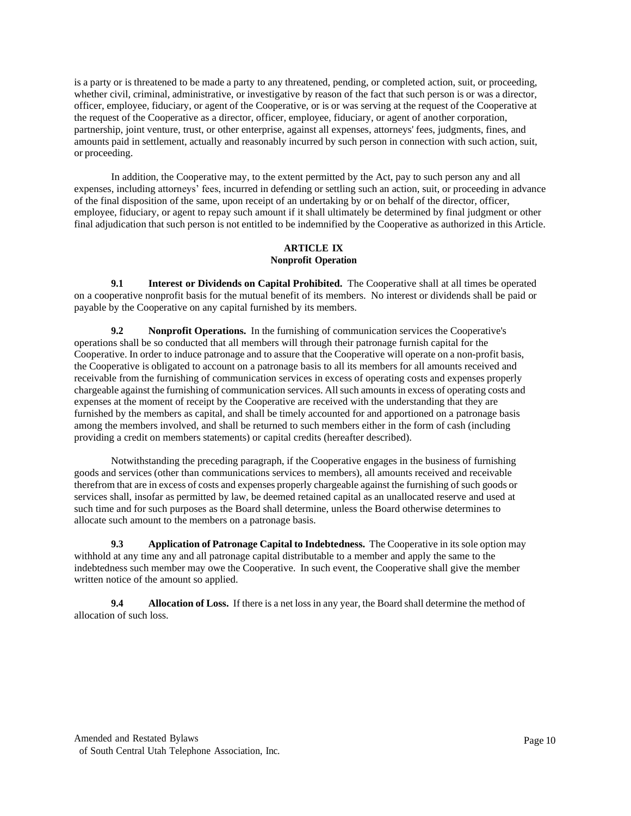is a party or is threatened to be made a party to any threatened, pending, or completed action, suit, or proceeding, whether civil, criminal, administrative, or investigative by reason of the fact that such person is or was a director, officer, employee, fiduciary, or agent of the Cooperative, or is or was serving at the request of the Cooperative at the request of the Cooperative as a director, officer, employee, fiduciary, or agent of another corporation, partnership, joint venture, trust, or other enterprise, against all expenses, attorneys' fees, judgments, fines, and amounts paid in settlement, actually and reasonably incurred by such person in connection with such action, suit, or proceeding.

In addition, the Cooperative may, to the extent permitted by the Act, pay to such person any and all expenses, including attorneys' fees, incurred in defending or settling such an action, suit, or proceeding in advance of the final disposition of the same, upon receipt of an undertaking by or on behalf of the director, officer, employee, fiduciary, or agent to repay such amount if it shall ultimately be determined by final judgment or other final adjudication that such person is not entitled to be indemnified by the Cooperative as authorized in this Article.

# **ARTICLE IX Nonprofit Operation**

**9.1 Interest or Dividends on Capital Prohibited.** The Cooperative shall at all times be operated on a cooperative nonprofit basis for the mutual benefit of its members. No interest or dividends shall be paid or payable by the Cooperative on any capital furnished by its members.

**9.2 Nonprofit Operations.** In the furnishing of communication services the Cooperative's operations shall be so conducted that all members will through their patronage furnish capital for the Cooperative. In order to induce patronage and to assure that the Cooperative will operate on a non-profit basis, the Cooperative is obligated to account on a patronage basis to all its members for all amounts received and receivable from the furnishing of communication services in excess of operating costs and expenses properly chargeable against the furnishing of communication services. Allsuch amountsin excess of operating costs and expenses at the moment of receipt by the Cooperative are received with the understanding that they are furnished by the members as capital, and shall be timely accounted for and apportioned on a patronage basis among the members involved, and shall be returned to such members either in the form of cash (including providing a credit on members statements) or capital credits (hereafter described).

Notwithstanding the preceding paragraph, if the Cooperative engages in the business of furnishing goods and services (other than communications services to members), all amounts received and receivable therefrom that are in excess of costs and expenses properly chargeable against the furnishing of such goods or services shall, insofar as permitted by law, be deemed retained capital as an unallocated reserve and used at such time and for such purposes as the Board shall determine, unless the Board otherwise determines to allocate such amount to the members on a patronage basis.

**9.3 Application of Patronage Capital to Indebtedness.** The Cooperative in itssole option may withhold at any time any and all patronage capital distributable to a member and apply the same to the indebtedness such member may owe the Cooperative. In such event, the Cooperative shall give the member written notice of the amount so applied.

**9.4 Allocation of Loss.** If there is a net loss in any year, the Board shall determine the method of allocation of such loss.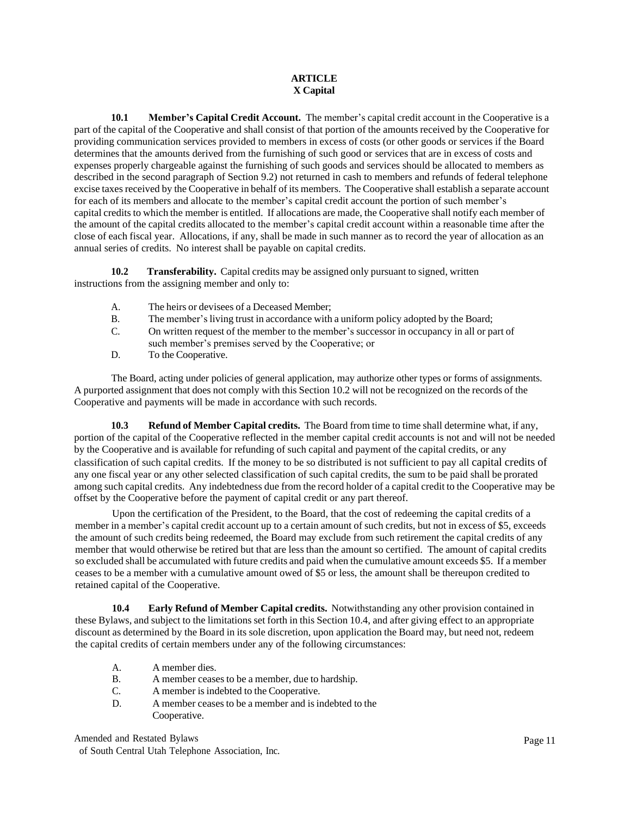# **ARTICLE X Capital**

**10.1 Member's Capital Credit Account.** The member's capital credit account in the Cooperative is a part of the capital of the Cooperative and shall consist of that portion of the amounts received by the Cooperative for providing communication services provided to members in excess of costs (or other goods or services if the Board determines that the amounts derived from the furnishing of such good or services that are in excess of costs and expenses properly chargeable against the furnishing of such goods and services should be allocated to members as described in the second paragraph of Section 9.2) not returned in cash to members and refunds of federal telephone excise taxes received by the Cooperative in behalf of its members. The Cooperative shall establish a separate account for each of its members and allocate to the member's capital credit account the portion of such member's capital credits to which the member is entitled. If allocations are made, the Cooperative shall notify each member of the amount of the capital credits allocated to the member's capital credit account within a reasonable time after the close of each fiscal year. Allocations, if any, shall be made in such manner as to record the year of allocation as an annual series of credits. No interest shall be payable on capital credits.

**10.2 Transferability.** Capital credits may be assigned only pursuant to signed, written instructions from the assigning member and only to:

- A. The heirs or devisees of a Deceased Member;
- B. The member's living trust in accordance with a uniform policy adopted by the Board;
- C. On written request of the member to the member's successor in occupancy in all or part of
- such member's premises served by the Cooperative; or
- D. To the Cooperative.

The Board, acting under policies of general application, may authorize other types or forms of assignments. A purported assignment that does not comply with this Section 10.2 will not be recognized on the records of the Cooperative and payments will be made in accordance with such records.

**10.3 Refund of Member Capital credits.** The Board from time to time shall determine what, if any, portion of the capital of the Cooperative reflected in the member capital credit accounts is not and will not be needed by the Cooperative and is available for refunding of such capital and payment of the capital credits, or any classification of such capital credits. If the money to be so distributed is not sufficient to pay all capital credits of any one fiscal year or any other selected classification of such capital credits, the sum to be paid shall be prorated among such capital credits. Any indebtedness due from the record holder of a capital credit to the Cooperative may be offset by the Cooperative before the payment of capital credit or any part thereof.

Upon the certification of the President, to the Board, that the cost of redeeming the capital credits of a member in a member's capital credit account up to a certain amount of such credits, but not in excess of \$5, exceeds the amount of such credits being redeemed, the Board may exclude from such retirement the capital credits of any member that would otherwise be retired but that are less than the amount so certified. The amount of capital credits so excluded shall be accumulated with future credits and paid when the cumulative amount exceeds \$5. If a member ceases to be a member with a cumulative amount owed of \$5 or less, the amount shall be thereupon credited to retained capital of the Cooperative.

**10.4 Early Refund of Member Capital credits.** Notwithstanding any other provision contained in these Bylaws, and subject to the limitations set forth in this Section 10.4, and after giving effect to an appropriate discount as determined by the Board in its sole discretion, upon application the Board may, but need not, redeem the capital credits of certain members under any of the following circumstances:

- A. A member dies.<br>B. A member cease
- A member ceases to be a member, due to hardship.
- C. A member isindebted to the Cooperative.
- D. A member ceases to be a member and is indebted to the Cooperative.

Amended and Restated Bylaws

of South Central Utah Telephone Association, Inc.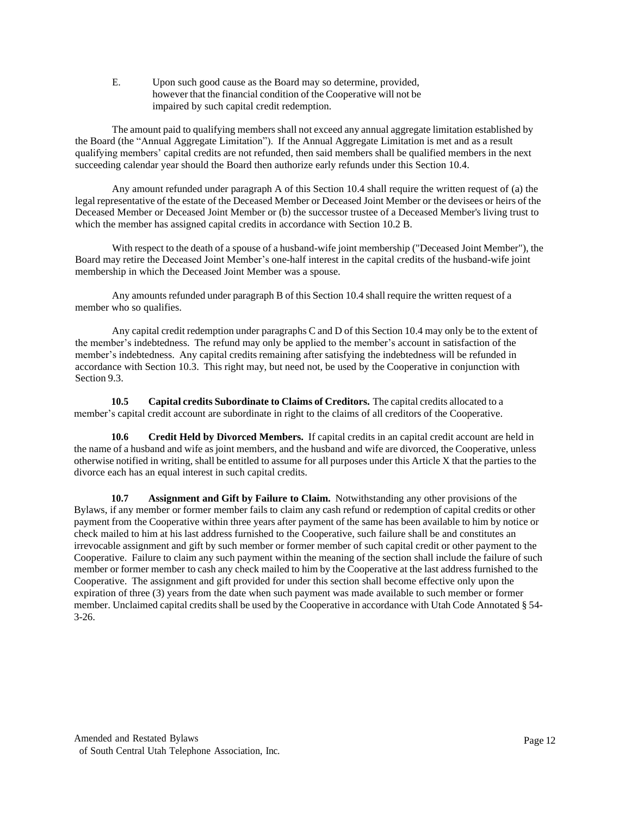E. Upon such good cause as the Board may so determine, provided, however that the financial condition of the Cooperative will not be impaired by such capital credit redemption.

The amount paid to qualifying membersshall not exceed any annual aggregate limitation established by the Board (the "Annual Aggregate Limitation"). If the Annual Aggregate Limitation is met and as a result qualifying members' capital credits are not refunded, then said members shall be qualified members in the next succeeding calendar year should the Board then authorize early refunds under this Section 10.4.

Any amount refunded under paragraph A of this Section 10.4 shall require the written request of (a) the legal representative of the estate of the Deceased Member or Deceased Joint Member or the devisees or heirs of the Deceased Member or Deceased Joint Member or (b) the successor trustee of a Deceased Member's living trust to which the member has assigned capital credits in accordance with Section 10.2 B.

With respect to the death of a spouse of a husband-wife joint membership ("Deceased Joint Member"), the Board may retire the Deceased Joint Member's one-half interest in the capital credits of the husband-wife joint membership in which the Deceased Joint Member was a spouse.

Any amounts refunded under paragraph B of this Section 10.4 shall require the written request of a member who so qualifies.

Any capital credit redemption under paragraphs C and D of this Section 10.4 may only be to the extent of the member's indebtedness. The refund may only be applied to the member's account in satisfaction of the member's indebtedness. Any capital credits remaining after satisfying the indebtedness will be refunded in accordance with Section 10.3. This right may, but need not, be used by the Cooperative in conjunction with Section 9.3.

**10.5 Capital credits Subordinate to Claims of Creditors.** The capital credits allocated to a member's capital credit account are subordinate in right to the claims of all creditors of the Cooperative.

**10.6 Credit Held by Divorced Members.** If capital credits in an capital credit account are held in the name of a husband and wife asjoint members, and the husband and wife are divorced, the Cooperative, unless otherwise notified in writing, shall be entitled to assume for all purposes under this Article X that the partiesto the divorce each has an equal interest in such capital credits.

**10.7 Assignment and Gift by Failure to Claim.** Notwithstanding any other provisions of the Bylaws, if any member or former member fails to claim any cash refund or redemption of capital credits or other payment from the Cooperative within three years after payment of the same has been available to him by notice or check mailed to him at his last address furnished to the Cooperative, such failure shall be and constitutes an irrevocable assignment and gift by such member or former member of such capital credit or other payment to the Cooperative. Failure to claim any such payment within the meaning of the section shall include the failure of such member or former member to cash any check mailed to him by the Cooperative at the last address furnished to the Cooperative. The assignment and gift provided for under this section shall become effective only upon the expiration of three (3) years from the date when such payment was made available to such member or former member. Unclaimed capital credits shall be used by the Cooperative in accordance with Utah Code Annotated § 54-3-26.